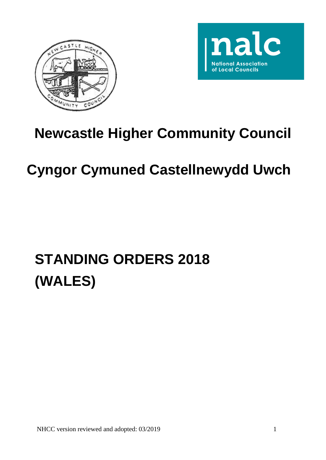



# **Newcastle Higher Community Council**

# **Cyngor Cymuned Castellnewydd Uwch**

# **STANDING ORDERS 2018 (WALES)**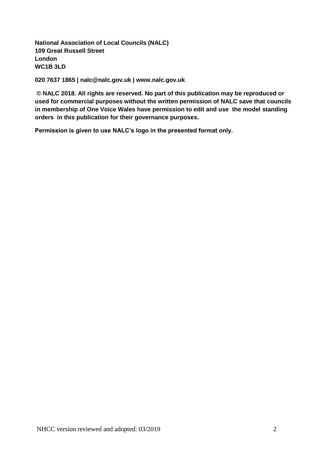**National Association of Local Councils (NALC) 109 Great Russell Street London WC1B 3LD**

**020 7637 1865 | nalc@nalc.gov.uk | www.nalc.gov.uk**

**© NALC 2018. All rights are reserved. No part of this publication may be reproduced or used for commercial purposes without the written permission of NALC save that councils in membership of One Voice Wales have permission to edit and use the model standing orders in this publication for their governance purposes.**

**Permission is given to use NALC's logo in the presented format only.**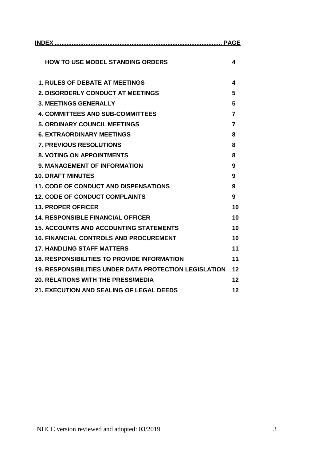| <b>HOW TO USE MODEL STANDING ORDERS</b>                       | 4              |
|---------------------------------------------------------------|----------------|
| <b>1. RULES OF DEBATE AT MEETINGS</b>                         | 4              |
| 2. DISORDERLY CONDUCT AT MEETINGS                             | 5              |
| <b>3. MEETINGS GENERALLY</b>                                  | 5              |
| <b>4. COMMITTEES AND SUB-COMMITTEES</b>                       | $\overline{7}$ |
| <b>5. ORDINARY COUNCIL MEETINGS</b>                           | 7              |
| <b>6. EXTRAORDINARY MEETINGS</b>                              | 8              |
| <b>7. PREVIOUS RESOLUTIONS</b>                                | 8              |
| <b>8. VOTING ON APPOINTMENTS</b>                              | 8              |
| <b>9. MANAGEMENT OF INFORMATION</b>                           | 9              |
| <b>10. DRAFT MINUTES</b>                                      | 9              |
| <b>11. CODE OF CONDUCT AND DISPENSATIONS</b>                  | 9              |
| <b>12. CODE OF CONDUCT COMPLAINTS</b>                         | 9              |
| <b>13. PROPER OFFICER</b>                                     | 10             |
| <b>14. RESPONSIBLE FINANCIAL OFFICER</b>                      | 10             |
| <b>15. ACCOUNTS AND ACCOUNTING STATEMENTS</b>                 | 10             |
| <b>16. FINANCIAL CONTROLS AND PROCUREMENT</b>                 | 10             |
| <b>17. HANDLING STAFF MATTERS</b>                             | 11             |
| <b>18. RESPONSIBILITIES TO PROVIDE INFORMATION</b>            | 11             |
| <b>19. RESPONSIBILITIES UNDER DATA PROTECTION LEGISLATION</b> | 12             |
| <b>20. RELATIONS WITH THE PRESS/MEDIA</b>                     | 12             |
| 21. EXECUTION AND SEALING OF LEGAL DEEDS                      | 12             |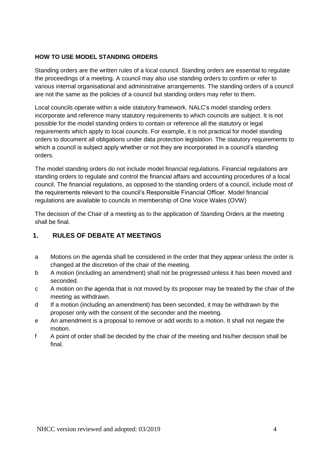### **HOW TO USE MODEL STANDING ORDERS**

Standing orders are the written rules of a local council. Standing orders are essential to regulate the proceedings of a meeting. A council may also use standing orders to confirm or refer to various internal organisational and administrative arrangements. The standing orders of a council are not the same as the policies of a council but standing orders may refer to them.

Local councils operate within a wide statutory framework. NALC's model standing orders incorporate and reference many statutory requirements to which councils are subject. It is not possible for the model standing orders to contain or reference all the statutory or legal requirements which apply to local councils. For example, it is not practical for model standing orders to document all obligations under data protection legislation. The statutory requirements to which a council is subject apply whether or not they are incorporated in a council's standing orders.

The model standing orders do not include model financial regulations. Financial regulations are standing orders to regulate and control the financial affairs and accounting procedures of a local council. The financial regulations, as opposed to the standing orders of a council, include most of the requirements relevant to the council's Responsible Financial Officer. Model financial regulations are available to councils in membership of One Voice Wales (OVW)

The decision of the Chair of a meeting as to the application of Standing Orders at the meeting shall be final.

# **1. RULES OF DEBATE AT MEETINGS**

- a Motions on the agenda shall be considered in the order that they appear unless the order is changed at the discretion of the chair of the meeting.
- b A motion (including an amendment) shall not be progressed unless it has been moved and seconded.
- c A motion on the agenda that is not moved by its proposer may be treated by the chair of the meeting as withdrawn.
- d If a motion (including an amendment) has been seconded, it may be withdrawn by the proposer only with the consent of the seconder and the meeting.
- e An amendment is a proposal to remove or add words to a motion. It shall not negate the motion.
- f A point of order shall be decided by the chair of the meeting and his/her decision shall be final.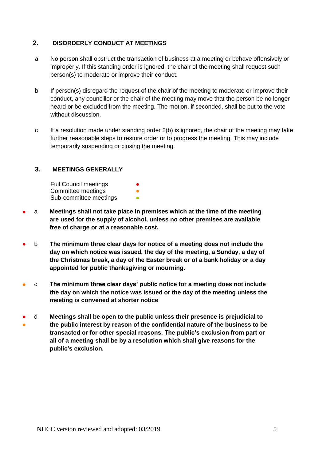# **2. DISORDERLY CONDUCT AT MEETINGS**

- a No person shall obstruct the transaction of business at a meeting or behave offensively or improperly. If this standing order is ignored, the chair of the meeting shall request such person(s) to moderate or improve their conduct.
- b If person(s) disregard the request of the chair of the meeting to moderate or improve their conduct, any councillor or the chair of the meeting may move that the person be no longer heard or be excluded from the meeting. The motion, if seconded, shall be put to the vote without discussion.
- c If a resolution made under standing order 2(b) is ignored, the chair of the meeting may take further reasonable steps to restore order or to progress the meeting. This may include temporarily suspending or closing the meeting.

# **3. MEETINGS GENERALLY**

Full Council meetings Committee meetings **below** Sub-committee meetings

- a **Meetings shall not take place in premises which at the time of the meeting are used for the supply of alcohol, unless no other premises are available free of charge or at a reasonable cost.**
- b **The minimum three clear days for notice of a meeting does not include the day on which notice was issued, the day of the meeting, a Sunday, a day of the Christmas break, a day of the Easter break or of a bank holiday or a day appointed for public thanksgiving or mourning.**
- c **The minimum three clear days' public notice for a meeting does not include the day on which the notice was issued or the day of the meeting unless the meeting is convened at shorter notice**
- ● d **Meetings shall be open to the public unless their presence is prejudicial to the public interest by reason of the confidential nature of the business to be transacted or for other special reasons. The public's exclusion from part or all of a meeting shall be by a resolution which shall give reasons for the public's exclusion.**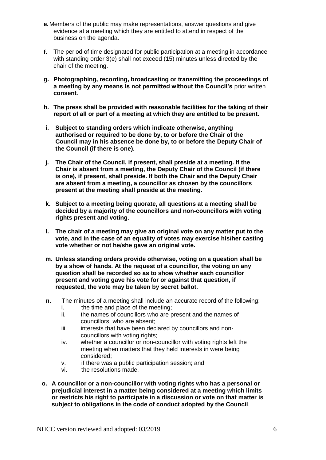- **e.**Members of the public may make representations, answer questions and give evidence at a meeting which they are entitled to attend in respect of the business on the agenda.
- **f.** The period of time designated for public participation at a meeting in accordance with standing order 3(e) shall not exceed (15) minutes unless directed by the chair of the meeting.
- **g. Photographing, recording, broadcasting or transmitting the proceedings of a meeting by any means is not permitted without the Council's** prior written **consent**.
- **h. The press shall be provided with reasonable facilities for the taking of their report of all or part of a meeting at which they are entitled to be present.**
- **i. Subject to standing orders which indicate otherwise, anything authorised or required to be done by, to or before the Chair of the Council may in his absence be done by, to or before the Deputy Chair of the Council (if there is one).**
- **j. The Chair of the Council, if present, shall preside at a meeting. If the Chair is absent from a meeting, the Deputy Chair of the Council (if there is one), if present, shall preside. If both the Chair and the Deputy Chair are absent from a meeting, a councillor as chosen by the councillors present at the meeting shall preside at the meeting.**
- **k. Subject to a meeting being quorate, all questions at a meeting shall be decided by a majority of the councillors and non-councillors with voting rights present and voting.**
- **l. The chair of a meeting may give an original vote on any matter put to the vote, and in the case of an equality of votes may exercise his/her casting vote whether or not he/she gave an original vote.**
- **m. Unless standing orders provide otherwise, voting on a question shall be by a show of hands. At the request of a councillor, the voting on any question shall be recorded so as to show whether each councillor present and voting gave his vote for or against that question, if requested, the vote may be taken by secret ballot.**
- **n.** The minutes of a meeting shall include an accurate record of the following:
	- i. the time and place of the meeting;
	- ii. the names of councillors who are present and the names of councillors who are absent;
	- iii. interests that have been declared by councillors and noncouncillors with voting rights;
	- iv. whether a councillor or non-councillor with voting rights left the meeting when matters that they held interests in were being considered;
	- v. if there was a public participation session; and
	- vi. the resolutions made.
- **o. A councillor or a non-councillor with voting rights who has a personal or prejudicial interest in a matter being considered at a meeting which limits or restricts his right to participate in a discussion or vote on that matter is subject to obligations in the code of conduct adopted by the Council**.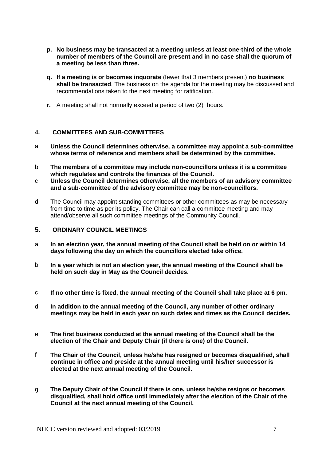- **p. No business may be transacted at a meeting unless at least one-third of the whole number of members of the Council are present and in no case shall the quorum of a meeting be less than three.**
- **q. If a meeting is or becomes inquorate** (fewer that 3 members present) **no business shall be transacted**. The business on the agenda for the meeting may be discussed and recommendations taken to the next meeting for ratification.
- **r.** A meeting shall not normally exceed a period of two (2) hours.

#### **4. COMMITTEES AND SUB-COMMITTEES**

- a **Unless the Council determines otherwise, a committee may appoint a sub-committee whose terms of reference and members shall be determined by the committee.**
- b **The members of a committee may include non-councillors unless it is a committee which regulates and controls the finances of the Council.**
- c **Unless the Council determines otherwise, all the members of an advisory committee and a sub-committee of the advisory committee may be non-councillors.**
- d The Council may appoint standing committees or other committees as may be necessary from time to time as per its policy. The Chair can call a committee meeting and may attend/observe all such committee meetings of the Community Council.

#### **5. ORDINARY COUNCIL MEETINGS**

- a **In an election year, the annual meeting of the Council shall be held on or within 14 days following the day on which the councillors elected take office.**
- b **In a year which is not an election year, the annual meeting of the Council shall be held on such day in May as the Council decides.**
- c **If no other time is fixed, the annual meeting of the Council shall take place at 6 pm.**
- d **In addition to the annual meeting of the Council, any number of other ordinary meetings may be held in each year on such dates and times as the Council decides.**
- e **The first business conducted at the annual meeting of the Council shall be the election of the Chair and Deputy Chair (if there is one) of the Council.**
- f **The Chair of the Council, unless he/she has resigned or becomes disqualified, shall continue in office and preside at the annual meeting until his/her successor is elected at the next annual meeting of the Council.**
- g **The Deputy Chair of the Council if there is one, unless he/she resigns or becomes disqualified, shall hold office until immediately after the election of the Chair of the Council at the next annual meeting of the Council.**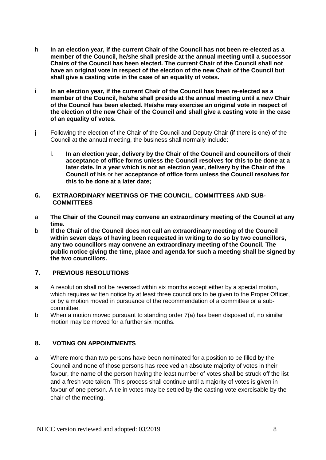- h **In an election year, if the current Chair of the Council has not been re-elected as a member of the Council, he/she shall preside at the annual meeting until a successor Chairs of the Council has been elected. The current Chair of the Council shall not have an original vote in respect of the election of the new Chair of the Council but shall give a casting vote in the case of an equality of votes.**
- i **In an election year, if the current Chair of the Council has been re-elected as a member of the Council, he/she shall preside at the annual meeting until a new Chair of the Council has been elected. He/she may exercise an original vote in respect of the election of the new Chair of the Council and shall give a casting vote in the case of an equality of votes.**
- j Following the election of the Chair of the Council and Deputy Chair (if there is one) of the Council at the annual meeting, the business shall normally include:
	- i. **In an election year, delivery by the Chair of the Council and councillors of their acceptance of office forms unless the Council resolves for this to be done at a later date. In a year which is not an election year, delivery by the Chair of the Council of his** or her **acceptance of office form unless the Council resolves for this to be done at a later date;**
- **6. EXTRAORDINARY MEETINGS OF THE COUNCIL, COMMITTEES AND SUB-COMMITTEES**
- a **The Chair of the Council may convene an extraordinary meeting of the Council at any time.**
- b **If the Chair of the Council does not call an extraordinary meeting of the Council within seven days of having been requested in writing to do so by two councillors, any two councillors may convene an extraordinary meeting of the Council. The public notice giving the time, place and agenda for such a meeting shall be signed by the two councillors.**

# **7. PREVIOUS RESOLUTIONS**

- a A resolution shall not be reversed within six months except either by a special motion, which requires written notice by at least three councillors to be given to the Proper Officer, or by a motion moved in pursuance of the recommendation of a committee or a subcommittee.
- b When a motion moved pursuant to standing order 7(a) has been disposed of, no similar motion may be moved for a further six months.

# **8. VOTING ON APPOINTMENTS**

a Where more than two persons have been nominated for a position to be filled by the Council and none of those persons has received an absolute majority of votes in their favour, the name of the person having the least number of votes shall be struck off the list and a fresh vote taken. This process shall continue until a majority of votes is given in favour of one person. A tie in votes may be settled by the casting vote exercisable by the chair of the meeting.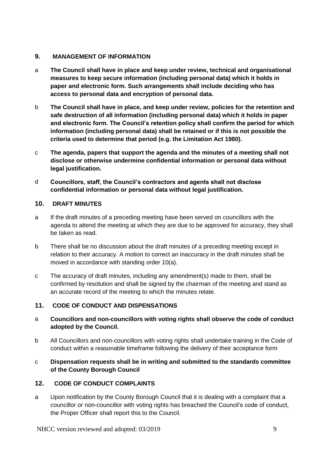# **9. MANAGEMENT OF INFORMATION**

- a **The Council shall have in place and keep under review, technical and organisational measures to keep secure information (including personal data) which it holds in paper and electronic form. Such arrangements shall include deciding who has access to personal data and encryption of personal data.**
- b **The Council shall have in place, and keep under review, policies for the retention and safe destruction of all information (including personal data) which it holds in paper and electronic form. The Council's retention policy shall confirm the period for which information (including personal data) shall be retained or if this is not possible the criteria used to determine that period (e.g. the Limitation Act 1980).**
- c **The agenda, papers that support the agenda and the minutes of a meeting shall not disclose or otherwise undermine confidential information or personal data without legal justification.**
- d **Councillors, staff, the Council's contractors and agents shall not disclose confidential information or personal data without legal justification.**

#### **10. DRAFT MINUTES**

- a If the draft minutes of a preceding meeting have been served on councillors with the agenda to attend the meeting at which they are due to be approved for accuracy, they shall be taken as read.
- b There shall be no discussion about the draft minutes of a preceding meeting except in relation to their accuracy. A motion to correct an inaccuracy in the draft minutes shall be moved in accordance with standing order 10(a).
- c The accuracy of draft minutes, including any amendment(s) made to them, shall be confirmed by resolution and shall be signed by the chairman of the meeting and stand as an accurate record of the meeting to which the minutes relate.

# **11. CODE OF CONDUCT AND DISPENSATIONS**

- a **Councillors and non-councillors with voting rights shall observe the code of conduct adopted by the Council.**
- b All Councillors and non-councillors with voting rights shall undertake training in the Code of conduct within a reasonable timeframe following the delivery of their acceptance form
- c **Dispensation requests shall be in writing and submitted to the standards committee of the County Borough Council**

# **12. CODE OF CONDUCT COMPLAINTS**

a Upon notification by the County Borough Council that it is dealing with a complaint that a councillor or non-councillor with voting rights has breached the Council's code of conduct, the Proper Officer shall report this to the Council.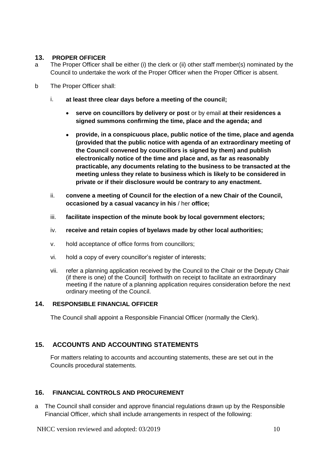# **13. PROPER OFFICER**

- a The Proper Officer shall be either (i) the clerk or (ii) other staff member(s) nominated by the Council to undertake the work of the Proper Officer when the Proper Officer is absent.
- b The Proper Officer shall:
	- i. **at least three clear days before a meeting of the council;**
		- **serve on councillors by delivery or post** or by email **at their residences a signed summons confirming the time, place and the agenda; and**
		- **provide, in a conspicuous place, public notice of the time, place and agenda (provided that the public notice with agenda of an extraordinary meeting of the Council convened by councillors is signed by them) and publish electronically notice of the time and place and, as far as reasonably practicable, any documents relating to the business to be transacted at the meeting unless they relate to business which is likely to be considered in private or if their disclosure would be contrary to any enactment.**
	- ii. **convene a meeting of Council for the election of a new Chair of the Council, occasioned by a casual vacancy in his** / her **office;**
	- iii. **facilitate inspection of the minute book by local government electors;**
	- iv. **receive and retain copies of byelaws made by other local authorities;**
	- v. hold acceptance of office forms from councillors;
	- vi. hold a copy of every councillor's register of interests;
	- vii. refer a planning application received by the Council to the Chair or the Deputy Chair (if there is one) of the Council] forthwith on receipt to facilitate an extraordinary meeting if the nature of a planning application requires consideration before the next ordinary meeting of the Council.

# **14. RESPONSIBLE FINANCIAL OFFICER**

The Council shall appoint a Responsible Financial Officer (normally the Clerk).

# **15. ACCOUNTS AND ACCOUNTING STATEMENTS**

For matters relating to accounts and accounting statements, these are set out in the Councils procedural statements.

# **16. FINANCIAL CONTROLS AND PROCUREMENT**

a The Council shall consider and approve financial regulations drawn up by the Responsible Financial Officer, which shall include arrangements in respect of the following: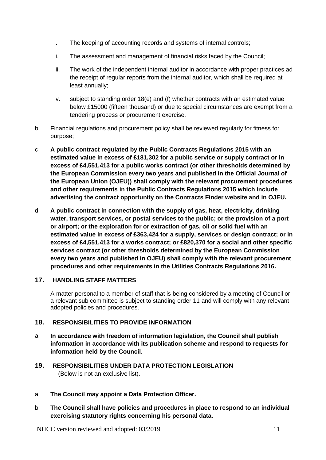- i. The keeping of accounting records and systems of internal controls;
- ii. The assessment and management of financial risks faced by the Council;
- iii. The work of the independent internal auditor in accordance with proper practices ad the receipt of regular reports from the internal auditor, which shall be required at least annually;
- iv. subject to standing order 18(e) and (f) whether contracts with an estimated value below £15000 (fifteen thousand) or due to special circumstances are exempt from a tendering process or procurement exercise.
- b Financial regulations and procurement policy shall be reviewed regularly for fitness for purpose;
- c **A public contract regulated by the Public Contracts Regulations 2015 with an estimated value in excess of £181,302 for a public service or supply contract or in excess of £4,551,413 for a public works contract (or other thresholds determined by the European Commission every two years and published in the Official Journal of the European Union (OJEU)) shall comply with the relevant procurement procedures and other requirements in the Public Contracts Regulations 2015 which include advertising the contract opportunity on the Contracts Finder website and in OJEU.**
- d **A public contract in connection with the supply of gas, heat, electricity, drinking water, transport services, or postal services to the public; or the provision of a port or airport; or the exploration for or extraction of gas, oil or solid fuel with an estimated value in excess of £363,424 for a supply, services or design contract; or in excess of £4,551,413 for a works contract; or £820,370 for a social and other specific services contract (or other thresholds determined by the European Commission every two years and published in OJEU) shall comply with the relevant procurement procedures and other requirements in the Utilities Contracts Regulations 2016.**

# **17. HANDLING STAFF MATTERS**

A matter personal to a member of staff that is being considered by a meeting of Council or a relevant sub committee is subject to standing order 11 and will comply with any relevant adopted policies and procedures.

# **18. RESPONSIBILITIES TO PROVIDE INFORMATION**

- a **In accordance with freedom of information legislation, the Council shall publish information in accordance with its publication scheme and respond to requests for information held by the Council.**
- **19. RESPONSIBILITIES UNDER DATA PROTECTION LEGISLATION**  (Below is not an exclusive list).
- a **The Council may appoint a Data Protection Officer.**
- b **The Council shall have policies and procedures in place to respond to an individual exercising statutory rights concerning his personal data.**